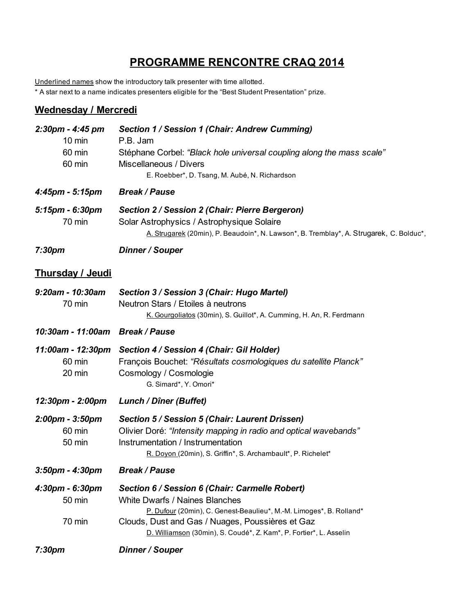## **PROGRAMME RENCONTRE CRAQ 2014**

Underlined names show the introductory talk presenter with time allotted.

\* A star next to a name indicates presenters eligible for the "Best Student Presentation" prize.

## **Wednesday / Mercredi**

| 2:30pm - 4:45 pm<br>$10 \text{ min}$  | Section 1 / Session 1 (Chair: Andrew Cumming)<br>P.B. Jam                                                                                                                                                               |
|---------------------------------------|-------------------------------------------------------------------------------------------------------------------------------------------------------------------------------------------------------------------------|
| 60 min<br>60 min                      | Stéphane Corbel: "Black hole universal coupling along the mass scale"<br>Miscellaneous / Divers<br>E. Roebber*, D. Tsang, M. Aubé, N. Richardson                                                                        |
| 4:45pm - 5:15pm                       | <b>Break / Pause</b>                                                                                                                                                                                                    |
| 5:15pm - 6:30pm<br>70 min             | Section 2 / Session 2 (Chair: Pierre Bergeron)<br>Solar Astrophysics / Astrophysique Solaire<br>A. Strugarek (20min), P. Beaudoin*, N. Lawson*, B. Tremblay*, A. Strugarek, C. Bolduc*,                                 |
| 7:30 <sub>pm</sub>                    | Dinner / Souper                                                                                                                                                                                                         |
| <b>Thursday / Jeudi</b>               |                                                                                                                                                                                                                         |
| 9:20am - 10:30am<br>70 min            | Section 3 / Session 3 (Chair: Hugo Martel)<br>Neutron Stars / Etoiles à neutrons<br>K. Gourgoliatos (30min), S. Guillot*, A. Cumming, H. An, R. Ferdmann                                                                |
| 10:30am - 11:00am Break / Pause       |                                                                                                                                                                                                                         |
| 11:00am - 12:30pm<br>60 min<br>20 min | Section 4 / Session 4 (Chair: Gil Holder)<br>François Bouchet: "Résultats cosmologiques du satellite Planck"<br>Cosmology / Cosmologie<br>G. Simard*, Y. Omori*                                                         |
| 12:30pm - 2:00pm                      | <b>Lunch / Dîner (Buffet)</b>                                                                                                                                                                                           |
| 2:00pm - 3:50pm<br>60 min<br>50 min   | Section 5 / Session 5 (Chair: Laurent Drissen)<br>Olivier Doré: "Intensity mapping in radio and optical wavebands"<br>Instrumentation / Instrumentation<br>R. Doyon (20min), S. Griffin*, S. Archambault*, P. Richelet* |
| $3:50$ pm - $4:30$ pm                 | <b>Break / Pause</b>                                                                                                                                                                                                    |
| 4:30pm - 6:30pm<br>50 min             | Section 6 / Session 6 (Chair: Carmelle Robert)<br><b>White Dwarfs / Naines Blanches</b><br>P. Dufour (20min), C. Genest-Beaulieu*, M.-M. Limoges*, B. Rolland*                                                          |
| 70 min                                | Clouds, Dust and Gas / Nuages, Poussières et Gaz<br>D. Williamson (30min), S. Coudé*, Z. Kam*, P. Fortier*, L. Asselin                                                                                                  |
| 7:30 <sub>pm</sub>                    | Dinner / Souper                                                                                                                                                                                                         |